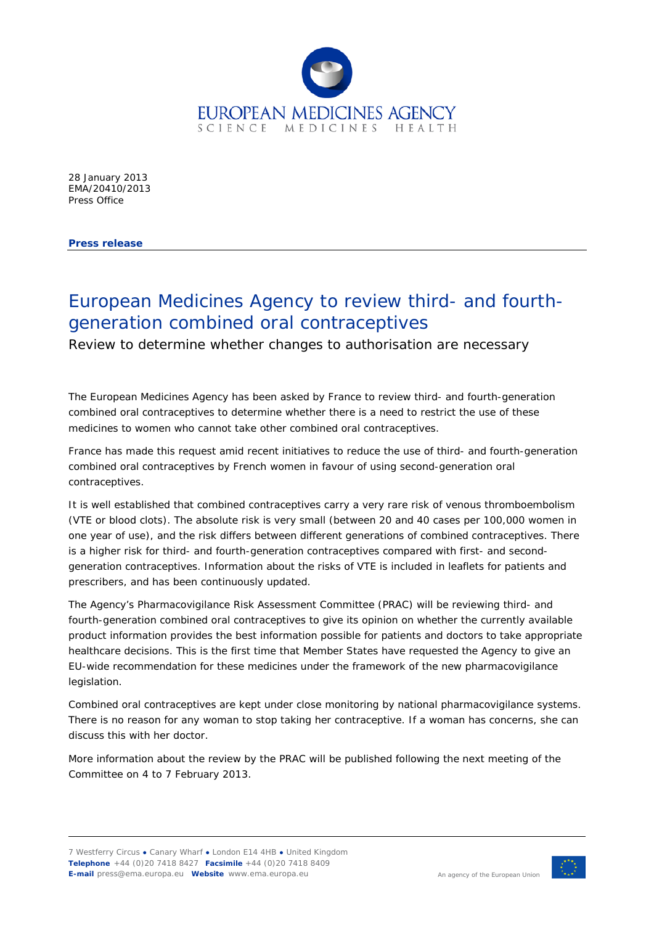

28 January 2013 EMA/20410/2013 Press Office

**Press release**

## European Medicines Agency to review third- and fourthgeneration combined oral contraceptives

Review to determine whether changes to authorisation are necessary

The European Medicines Agency has been asked by France to review third- and fourth-generation combined oral contraceptives to determine whether there is a need to restrict the use of these medicines to women who cannot take other combined oral contraceptives.

France has made this request amid recent initiatives to reduce the use of third- and fourth-generation combined oral contraceptives by French women in favour of using second-generation oral contraceptives.

It is well established that combined contraceptives carry a very rare risk of venous thromboembolism (VTE or blood clots). The absolute risk is very small (between 20 and 40 cases per 100,000 women in one year of use), and the risk differs between different generations of combined contraceptives. There is a higher risk for third- and fourth-generation contraceptives compared with first- and secondgeneration contraceptives. Information about the risks of VTE is included in leaflets for patients and prescribers, and has been continuously updated.

The Agency's Pharmacovigilance Risk Assessment Committee (PRAC) will be reviewing third- and fourth-generation combined oral contraceptives to give its opinion on whether the currently available product information provides the best information possible for patients and doctors to take appropriate healthcare decisions. This is the first time that Member States have requested the Agency to give an EU-wide recommendation for these medicines under the framework of the new pharmacovigilance legislation.

Combined oral contraceptives are kept under close monitoring by national pharmacovigilance systems. There is no reason for any woman to stop taking her contraceptive. If a woman has concerns, she can discuss this with her doctor.

More information about the review by the PRAC will be published following the next meeting of the Committee on 4 to 7 February 2013.